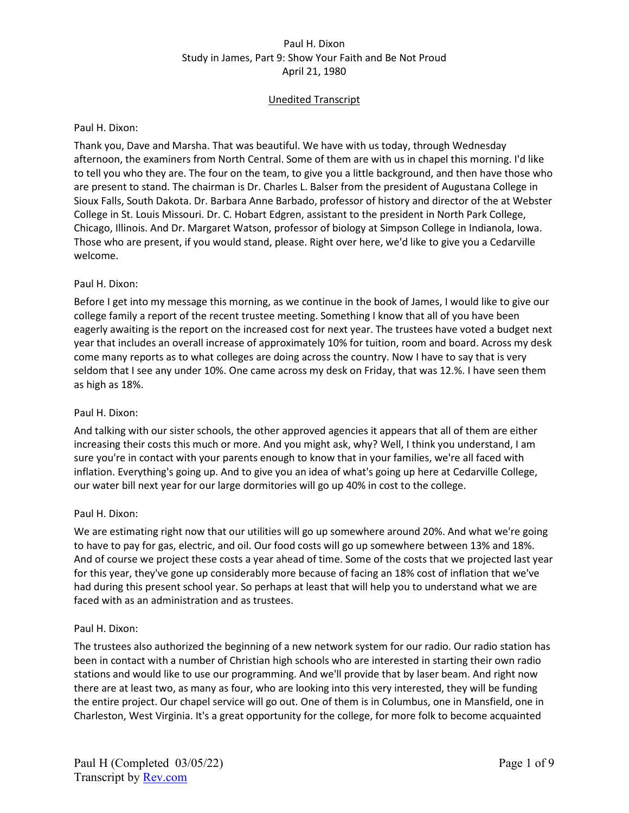# Unedited Transcript

#### Paul H. Dixon:

Thank you, Dave and Marsha. That was beautiful. We have with us today, through Wednesday afternoon, the examiners from North Central. Some of them are with us in chapel this morning. I'd like to tell you who they are. The four on the team, to give you a little background, and then have those who are present to stand. The chairman is Dr. Charles L. Balser from the president of Augustana College in Sioux Falls, South Dakota. Dr. Barbara Anne Barbado, professor of history and director of the at Webster College in St. Louis Missouri. Dr. C. Hobart Edgren, assistant to the president in North Park College, Chicago, Illinois. And Dr. Margaret Watson, professor of biology at Simpson College in Indianola, Iowa. Those who are present, if you would stand, please. Right over here, we'd like to give you a Cedarville welcome.

## Paul H. Dixon:

Before I get into my message this morning, as we continue in the book of James, I would like to give our college family a report of the recent trustee meeting. Something I know that all of you have been eagerly awaiting is the report on the increased cost for next year. The trustees have voted a budget next year that includes an overall increase of approximately 10% for tuition, room and board. Across my desk come many reports as to what colleges are doing across the country. Now I have to say that is very seldom that I see any under 10%. One came across my desk on Friday, that was 12.%. I have seen them as high as 18%.

## Paul H. Dixon:

And talking with our sister schools, the other approved agencies it appears that all of them are either increasing their costs this much or more. And you might ask, why? Well, I think you understand, I am sure you're in contact with your parents enough to know that in your families, we're all faced with inflation. Everything's going up. And to give you an idea of what's going up here at Cedarville College, our water bill next year for our large dormitories will go up 40% in cost to the college.

#### Paul H. Dixon:

We are estimating right now that our utilities will go up somewhere around 20%. And what we're going to have to pay for gas, electric, and oil. Our food costs will go up somewhere between 13% and 18%. And of course we project these costs a year ahead of time. Some of the costs that we projected last year for this year, they've gone up considerably more because of facing an 18% cost of inflation that we've had during this present school year. So perhaps at least that will help you to understand what we are faced with as an administration and as trustees.

#### Paul H. Dixon:

The trustees also authorized the beginning of a new network system for our radio. Our radio station has been in contact with a number of Christian high schools who are interested in starting their own radio stations and would like to use our programming. And we'll provide that by laser beam. And right now there are at least two, as many as four, who are looking into this very interested, they will be funding the entire project. Our chapel service will go out. One of them is in Columbus, one in Mansfield, one in Charleston, West Virginia. It's a great opportunity for the college, for more folk to become acquainted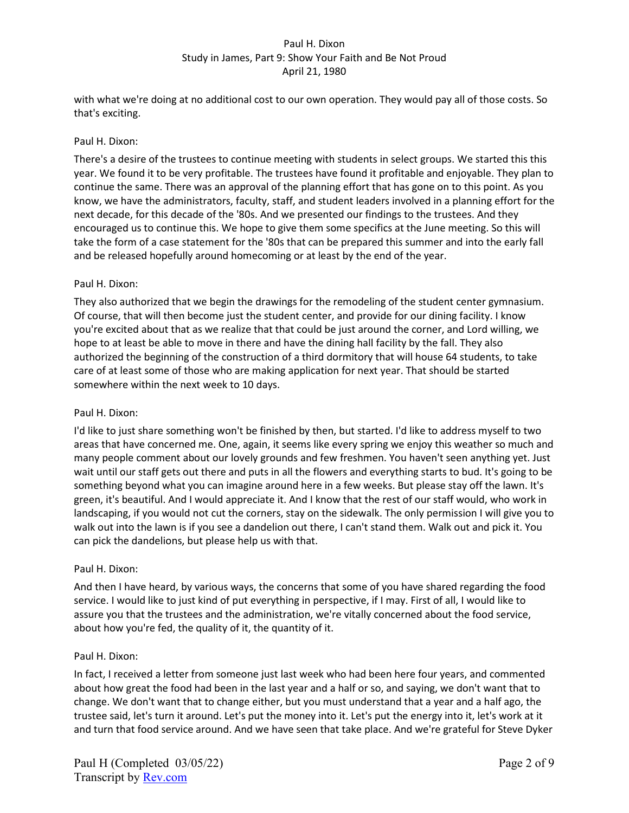with what we're doing at no additional cost to our own operation. They would pay all of those costs. So that's exciting.

## Paul H. Dixon:

There's a desire of the trustees to continue meeting with students in select groups. We started this this year. We found it to be very profitable. The trustees have found it profitable and enjoyable. They plan to continue the same. There was an approval of the planning effort that has gone on to this point. As you know, we have the administrators, faculty, staff, and student leaders involved in a planning effort for the next decade, for this decade of the '80s. And we presented our findings to the trustees. And they encouraged us to continue this. We hope to give them some specifics at the June meeting. So this will take the form of a case statement for the '80s that can be prepared this summer and into the early fall and be released hopefully around homecoming or at least by the end of the year.

## Paul H. Dixon:

They also authorized that we begin the drawings for the remodeling of the student center gymnasium. Of course, that will then become just the student center, and provide for our dining facility. I know you're excited about that as we realize that that could be just around the corner, and Lord willing, we hope to at least be able to move in there and have the dining hall facility by the fall. They also authorized the beginning of the construction of a third dormitory that will house 64 students, to take care of at least some of those who are making application for next year. That should be started somewhere within the next week to 10 days.

#### Paul H. Dixon:

I'd like to just share something won't be finished by then, but started. I'd like to address myself to two areas that have concerned me. One, again, it seems like every spring we enjoy this weather so much and many people comment about our lovely grounds and few freshmen. You haven't seen anything yet. Just wait until our staff gets out there and puts in all the flowers and everything starts to bud. It's going to be something beyond what you can imagine around here in a few weeks. But please stay off the lawn. It's green, it's beautiful. And I would appreciate it. And I know that the rest of our staff would, who work in landscaping, if you would not cut the corners, stay on the sidewalk. The only permission I will give you to walk out into the lawn is if you see a dandelion out there, I can't stand them. Walk out and pick it. You can pick the dandelions, but please help us with that.

#### Paul H. Dixon:

And then I have heard, by various ways, the concerns that some of you have shared regarding the food service. I would like to just kind of put everything in perspective, if I may. First of all, I would like to assure you that the trustees and the administration, we're vitally concerned about the food service, about how you're fed, the quality of it, the quantity of it.

#### Paul H. Dixon:

In fact, I received a letter from someone just last week who had been here four years, and commented about how great the food had been in the last year and a half or so, and saying, we don't want that to change. We don't want that to change either, but you must understand that a year and a half ago, the trustee said, let's turn it around. Let's put the money into it. Let's put the energy into it, let's work at it and turn that food service around. And we have seen that take place. And we're grateful for Steve Dyker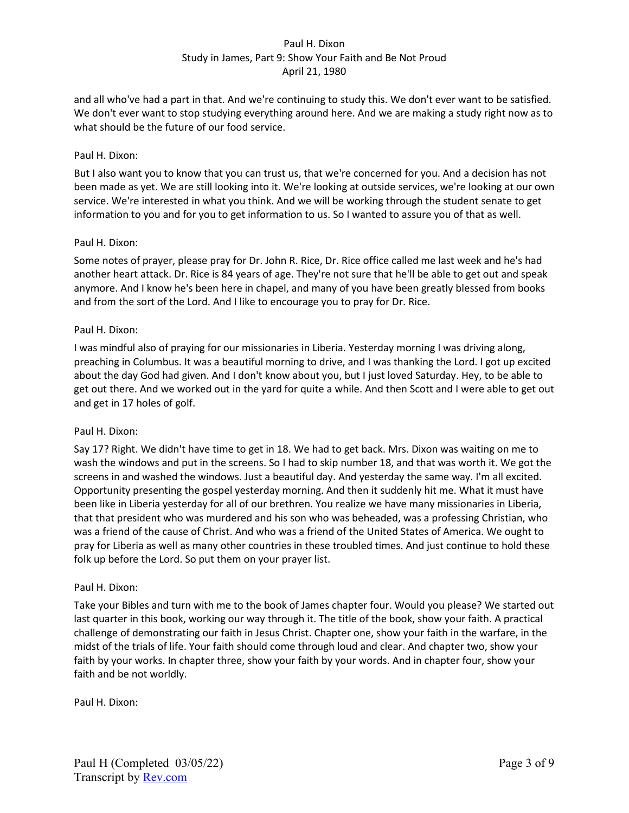and all who've had a part in that. And we're continuing to study this. We don't ever want to be satisfied. We don't ever want to stop studying everything around here. And we are making a study right now as to what should be the future of our food service.

## Paul H. Dixon:

But I also want you to know that you can trust us, that we're concerned for you. And a decision has not been made as yet. We are still looking into it. We're looking at outside services, we're looking at our own service. We're interested in what you think. And we will be working through the student senate to get information to you and for you to get information to us. So I wanted to assure you of that as well.

## Paul H. Dixon:

Some notes of prayer, please pray for Dr. John R. Rice, Dr. Rice office called me last week and he's had another heart attack. Dr. Rice is 84 years of age. They're not sure that he'll be able to get out and speak anymore. And I know he's been here in chapel, and many of you have been greatly blessed from books and from the sort of the Lord. And I like to encourage you to pray for Dr. Rice.

## Paul H. Dixon:

I was mindful also of praying for our missionaries in Liberia. Yesterday morning I was driving along, preaching in Columbus. It was a beautiful morning to drive, and I was thanking the Lord. I got up excited about the day God had given. And I don't know about you, but I just loved Saturday. Hey, to be able to get out there. And we worked out in the yard for quite a while. And then Scott and I were able to get out and get in 17 holes of golf.

#### Paul H. Dixon:

Say 17? Right. We didn't have time to get in 18. We had to get back. Mrs. Dixon was waiting on me to wash the windows and put in the screens. So I had to skip number 18, and that was worth it. We got the screens in and washed the windows. Just a beautiful day. And yesterday the same way. I'm all excited. Opportunity presenting the gospel yesterday morning. And then it suddenly hit me. What it must have been like in Liberia yesterday for all of our brethren. You realize we have many missionaries in Liberia, that that president who was murdered and his son who was beheaded, was a professing Christian, who was a friend of the cause of Christ. And who was a friend of the United States of America. We ought to pray for Liberia as well as many other countries in these troubled times. And just continue to hold these folk up before the Lord. So put them on your prayer list.

#### Paul H. Dixon:

Take your Bibles and turn with me to the book of James chapter four. Would you please? We started out last quarter in this book, working our way through it. The title of the book, show your faith. A practical challenge of demonstrating our faith in Jesus Christ. Chapter one, show your faith in the warfare, in the midst of the trials of life. Your faith should come through loud and clear. And chapter two, show your faith by your works. In chapter three, show your faith by your words. And in chapter four, show your faith and be not worldly.

Paul H. Dixon: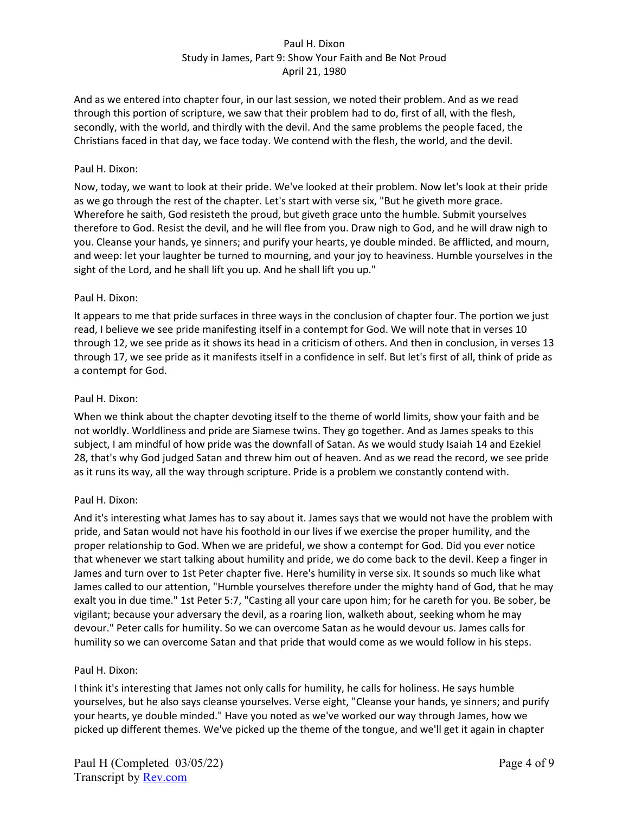And as we entered into chapter four, in our last session, we noted their problem. And as we read through this portion of scripture, we saw that their problem had to do, first of all, with the flesh, secondly, with the world, and thirdly with the devil. And the same problems the people faced, the Christians faced in that day, we face today. We contend with the flesh, the world, and the devil.

## Paul H. Dixon:

Now, today, we want to look at their pride. We've looked at their problem. Now let's look at their pride as we go through the rest of the chapter. Let's start with verse six, "But he giveth more grace. Wherefore he saith, God resisteth the proud, but giveth grace unto the humble. Submit yourselves therefore to God. Resist the devil, and he will flee from you. Draw nigh to God, and he will draw nigh to you. Cleanse your hands, ye sinners; and purify your hearts, ye double minded. Be afflicted, and mourn, and weep: let your laughter be turned to mourning, and your joy to heaviness. Humble yourselves in the sight of the Lord, and he shall lift you up. And he shall lift you up."

## Paul H. Dixon:

It appears to me that pride surfaces in three ways in the conclusion of chapter four. The portion we just read, I believe we see pride manifesting itself in a contempt for God. We will note that in verses 10 through 12, we see pride as it shows its head in a criticism of others. And then in conclusion, in verses 13 through 17, we see pride as it manifests itself in a confidence in self. But let's first of all, think of pride as a contempt for God.

## Paul H. Dixon:

When we think about the chapter devoting itself to the theme of world limits, show your faith and be not worldly. Worldliness and pride are Siamese twins. They go together. And as James speaks to this subject, I am mindful of how pride was the downfall of Satan. As we would study Isaiah 14 and Ezekiel 28, that's why God judged Satan and threw him out of heaven. And as we read the record, we see pride as it runs its way, all the way through scripture. Pride is a problem we constantly contend with.

#### Paul H. Dixon:

And it's interesting what James has to say about it. James says that we would not have the problem with pride, and Satan would not have his foothold in our lives if we exercise the proper humility, and the proper relationship to God. When we are prideful, we show a contempt for God. Did you ever notice that whenever we start talking about humility and pride, we do come back to the devil. Keep a finger in James and turn over to 1st Peter chapter five. Here's humility in verse six. It sounds so much like what James called to our attention, "Humble yourselves therefore under the mighty hand of God, that he may exalt you in due time." 1st Peter 5:7, "Casting all your care upon him; for he careth for you. Be sober, be vigilant; because your adversary the devil, as a roaring lion, walketh about, seeking whom he may devour." Peter calls for humility. So we can overcome Satan as he would devour us. James calls for humility so we can overcome Satan and that pride that would come as we would follow in his steps.

#### Paul H. Dixon:

I think it's interesting that James not only calls for humility, he calls for holiness. He says humble yourselves, but he also says cleanse yourselves. Verse eight, "Cleanse your hands, ye sinners; and purify your hearts, ye double minded." Have you noted as we've worked our way through James, how we picked up different themes. We've picked up the theme of the tongue, and we'll get it again in chapter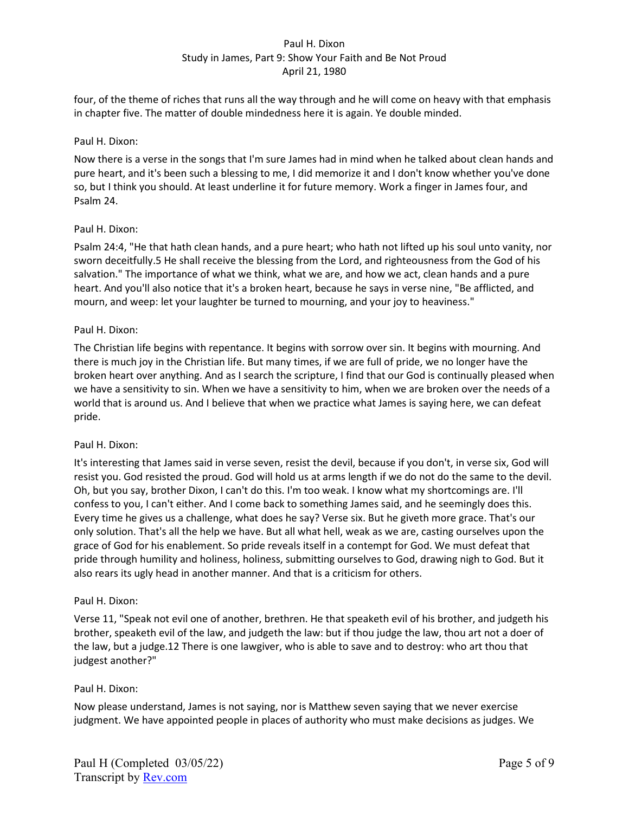four, of the theme of riches that runs all the way through and he will come on heavy with that emphasis in chapter five. The matter of double mindedness here it is again. Ye double minded.

## Paul H. Dixon:

Now there is a verse in the songs that I'm sure James had in mind when he talked about clean hands and pure heart, and it's been such a blessing to me, I did memorize it and I don't know whether you've done so, but I think you should. At least underline it for future memory. Work a finger in James four, and Psalm 24.

## Paul H. Dixon:

Psalm 24:4, "He that hath clean hands, and a pure heart; who hath not lifted up his soul unto vanity, nor sworn deceitfully.5 He shall receive the blessing from the Lord, and righteousness from the God of his salvation." The importance of what we think, what we are, and how we act, clean hands and a pure heart. And you'll also notice that it's a broken heart, because he says in verse nine, "Be afflicted, and mourn, and weep: let your laughter be turned to mourning, and your joy to heaviness."

## Paul H. Dixon:

The Christian life begins with repentance. It begins with sorrow over sin. It begins with mourning. And there is much joy in the Christian life. But many times, if we are full of pride, we no longer have the broken heart over anything. And as I search the scripture, I find that our God is continually pleased when we have a sensitivity to sin. When we have a sensitivity to him, when we are broken over the needs of a world that is around us. And I believe that when we practice what James is saying here, we can defeat pride.

#### Paul H. Dixon:

It's interesting that James said in verse seven, resist the devil, because if you don't, in verse six, God will resist you. God resisted the proud. God will hold us at arms length if we do not do the same to the devil. Oh, but you say, brother Dixon, I can't do this. I'm too weak. I know what my shortcomings are. I'll confess to you, I can't either. And I come back to something James said, and he seemingly does this. Every time he gives us a challenge, what does he say? Verse six. But he giveth more grace. That's our only solution. That's all the help we have. But all what hell, weak as we are, casting ourselves upon the grace of God for his enablement. So pride reveals itself in a contempt for God. We must defeat that pride through humility and holiness, holiness, submitting ourselves to God, drawing nigh to God. But it also rears its ugly head in another manner. And that is a criticism for others.

#### Paul H. Dixon:

Verse 11, "Speak not evil one of another, brethren. He that speaketh evil of his brother, and judgeth his brother, speaketh evil of the law, and judgeth the law: but if thou judge the law, thou art not a doer of the law, but a judge.12 There is one lawgiver, who is able to save and to destroy: who art thou that judgest another?"

## Paul H. Dixon:

Now please understand, James is not saying, nor is Matthew seven saying that we never exercise judgment. We have appointed people in places of authority who must make decisions as judges. We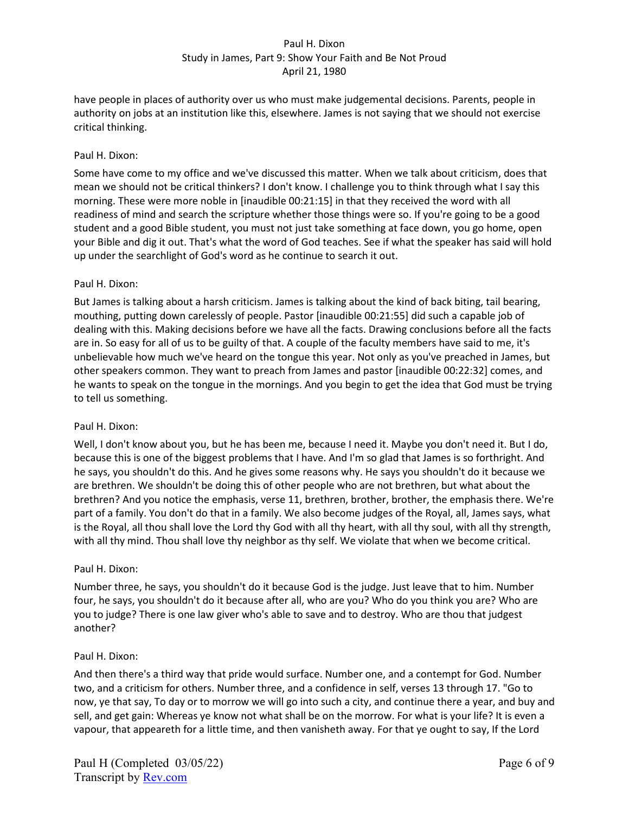have people in places of authority over us who must make judgemental decisions. Parents, people in authority on jobs at an institution like this, elsewhere. James is not saying that we should not exercise critical thinking.

## Paul H. Dixon:

Some have come to my office and we've discussed this matter. When we talk about criticism, does that mean we should not be critical thinkers? I don't know. I challenge you to think through what I say this morning. These were more noble in [inaudible 00:21:15] in that they received the word with all readiness of mind and search the scripture whether those things were so. If you're going to be a good student and a good Bible student, you must not just take something at face down, you go home, open your Bible and dig it out. That's what the word of God teaches. See if what the speaker has said will hold up under the searchlight of God's word as he continue to search it out.

#### Paul H. Dixon:

But James is talking about a harsh criticism. James is talking about the kind of back biting, tail bearing, mouthing, putting down carelessly of people. Pastor [inaudible 00:21:55] did such a capable job of dealing with this. Making decisions before we have all the facts. Drawing conclusions before all the facts are in. So easy for all of us to be guilty of that. A couple of the faculty members have said to me, it's unbelievable how much we've heard on the tongue this year. Not only as you've preached in James, but other speakers common. They want to preach from James and pastor [inaudible 00:22:32] comes, and he wants to speak on the tongue in the mornings. And you begin to get the idea that God must be trying to tell us something.

#### Paul H. Dixon:

Well, I don't know about you, but he has been me, because I need it. Maybe you don't need it. But I do, because this is one of the biggest problems that I have. And I'm so glad that James is so forthright. And he says, you shouldn't do this. And he gives some reasons why. He says you shouldn't do it because we are brethren. We shouldn't be doing this of other people who are not brethren, but what about the brethren? And you notice the emphasis, verse 11, brethren, brother, brother, the emphasis there. We're part of a family. You don't do that in a family. We also become judges of the Royal, all, James says, what is the Royal, all thou shall love the Lord thy God with all thy heart, with all thy soul, with all thy strength, with all thy mind. Thou shall love thy neighbor as thy self. We violate that when we become critical.

#### Paul H. Dixon:

Number three, he says, you shouldn't do it because God is the judge. Just leave that to him. Number four, he says, you shouldn't do it because after all, who are you? Who do you think you are? Who are you to judge? There is one law giver who's able to save and to destroy. Who are thou that judgest another?

#### Paul H. Dixon:

And then there's a third way that pride would surface. Number one, and a contempt for God. Number two, and a criticism for others. Number three, and a confidence in self, verses 13 through 17. "Go to now, ye that say, To day or to morrow we will go into such a city, and continue there a year, and buy and sell, and get gain: Whereas ye know not what shall be on the morrow. For what is your life? It is even a vapour, that appeareth for a little time, and then vanisheth away. For that ye ought to say, If the Lord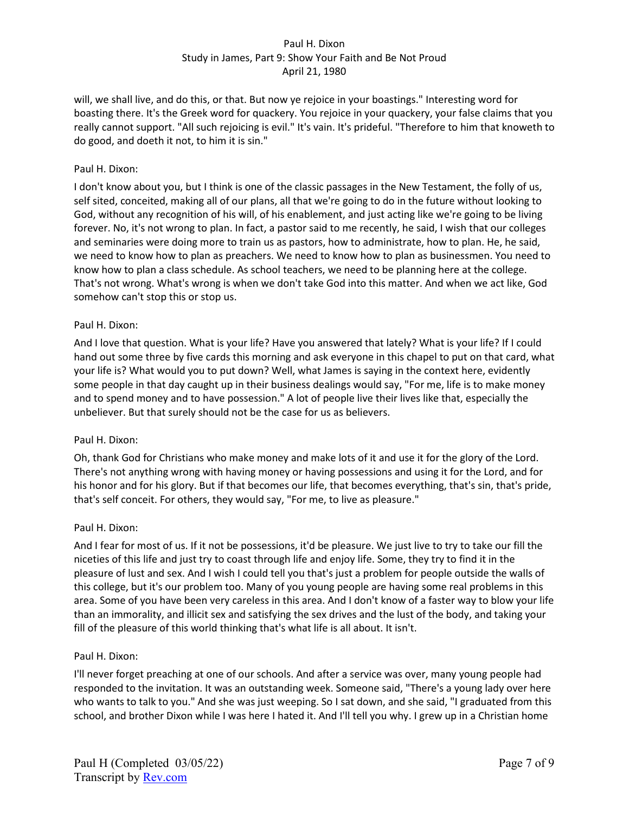will, we shall live, and do this, or that. But now ye rejoice in your boastings." Interesting word for boasting there. It's the Greek word for quackery. You rejoice in your quackery, your false claims that you really cannot support. "All such rejoicing is evil." It's vain. It's prideful. "Therefore to him that knoweth to do good, and doeth it not, to him it is sin."

## Paul H. Dixon:

I don't know about you, but I think is one of the classic passages in the New Testament, the folly of us, self sited, conceited, making all of our plans, all that we're going to do in the future without looking to God, without any recognition of his will, of his enablement, and just acting like we're going to be living forever. No, it's not wrong to plan. In fact, a pastor said to me recently, he said, I wish that our colleges and seminaries were doing more to train us as pastors, how to administrate, how to plan. He, he said, we need to know how to plan as preachers. We need to know how to plan as businessmen. You need to know how to plan a class schedule. As school teachers, we need to be planning here at the college. That's not wrong. What's wrong is when we don't take God into this matter. And when we act like, God somehow can't stop this or stop us.

## Paul H. Dixon:

And I love that question. What is your life? Have you answered that lately? What is your life? If I could hand out some three by five cards this morning and ask everyone in this chapel to put on that card, what your life is? What would you to put down? Well, what James is saying in the context here, evidently some people in that day caught up in their business dealings would say, "For me, life is to make money and to spend money and to have possession." A lot of people live their lives like that, especially the unbeliever. But that surely should not be the case for us as believers.

## Paul H. Dixon:

Oh, thank God for Christians who make money and make lots of it and use it for the glory of the Lord. There's not anything wrong with having money or having possessions and using it for the Lord, and for his honor and for his glory. But if that becomes our life, that becomes everything, that's sin, that's pride, that's self conceit. For others, they would say, "For me, to live as pleasure."

## Paul H. Dixon:

And I fear for most of us. If it not be possessions, it'd be pleasure. We just live to try to take our fill the niceties of this life and just try to coast through life and enjoy life. Some, they try to find it in the pleasure of lust and sex. And I wish I could tell you that's just a problem for people outside the walls of this college, but it's our problem too. Many of you young people are having some real problems in this area. Some of you have been very careless in this area. And I don't know of a faster way to blow your life than an immorality, and illicit sex and satisfying the sex drives and the lust of the body, and taking your fill of the pleasure of this world thinking that's what life is all about. It isn't.

#### Paul H. Dixon:

I'll never forget preaching at one of our schools. And after a service was over, many young people had responded to the invitation. It was an outstanding week. Someone said, "There's a young lady over here who wants to talk to you." And she was just weeping. So I sat down, and she said, "I graduated from this school, and brother Dixon while I was here I hated it. And I'll tell you why. I grew up in a Christian home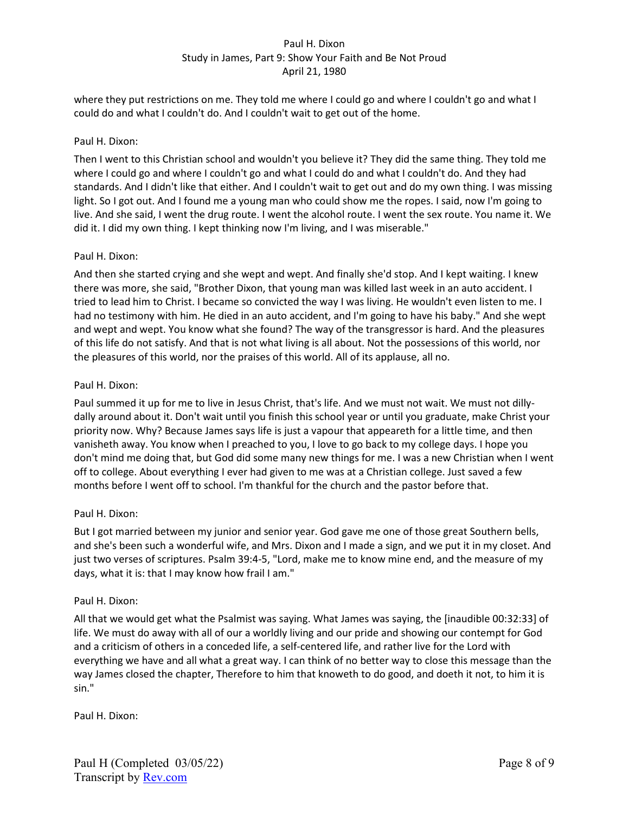where they put restrictions on me. They told me where I could go and where I couldn't go and what I could do and what I couldn't do. And I couldn't wait to get out of the home.

## Paul H. Dixon:

Then I went to this Christian school and wouldn't you believe it? They did the same thing. They told me where I could go and where I couldn't go and what I could do and what I couldn't do. And they had standards. And I didn't like that either. And I couldn't wait to get out and do my own thing. I was missing light. So I got out. And I found me a young man who could show me the ropes. I said, now I'm going to live. And she said, I went the drug route. I went the alcohol route. I went the sex route. You name it. We did it. I did my own thing. I kept thinking now I'm living, and I was miserable."

## Paul H. Dixon:

And then she started crying and she wept and wept. And finally she'd stop. And I kept waiting. I knew there was more, she said, "Brother Dixon, that young man was killed last week in an auto accident. I tried to lead him to Christ. I became so convicted the way I was living. He wouldn't even listen to me. I had no testimony with him. He died in an auto accident, and I'm going to have his baby." And she wept and wept and wept. You know what she found? The way of the transgressor is hard. And the pleasures of this life do not satisfy. And that is not what living is all about. Not the possessions of this world, nor the pleasures of this world, nor the praises of this world. All of its applause, all no.

## Paul H. Dixon:

Paul summed it up for me to live in Jesus Christ, that's life. And we must not wait. We must not dillydally around about it. Don't wait until you finish this school year or until you graduate, make Christ your priority now. Why? Because James says life is just a vapour that appeareth for a little time, and then vanisheth away. You know when I preached to you, I love to go back to my college days. I hope you don't mind me doing that, but God did some many new things for me. I was a new Christian when I went off to college. About everything I ever had given to me was at a Christian college. Just saved a few months before I went off to school. I'm thankful for the church and the pastor before that.

## Paul H. Dixon:

But I got married between my junior and senior year. God gave me one of those great Southern bells, and she's been such a wonderful wife, and Mrs. Dixon and I made a sign, and we put it in my closet. And just two verses of scriptures. Psalm 39:4-5, "Lord, make me to know mine end, and the measure of my days, what it is: that I may know how frail I am."

## Paul H. Dixon:

All that we would get what the Psalmist was saying. What James was saying, the [inaudible 00:32:33] of life. We must do away with all of our a worldly living and our pride and showing our contempt for God and a criticism of others in a conceded life, a self-centered life, and rather live for the Lord with everything we have and all what a great way. I can think of no better way to close this message than the way James closed the chapter, Therefore to him that knoweth to do good, and doeth it not, to him it is sin."

Paul H. Dixon: